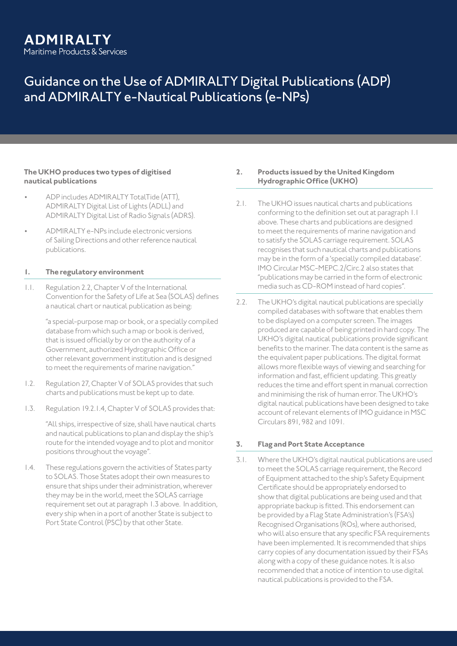# **ADMIRALTY**<br>Maritime Products & Services

## Guidance on the Use of ADMIRALTY Digital Publications (ADP) and ADMIRALTY e-Nautical Publications (e-NPs)

#### **The UKHO produces two types of digitised nautical publications**

- ADP includes ADMIRALTY TotalTide (ATT), ADMIRALTY Digital List of Lights (ADLL) and ADMIRALTY Digital List of Radio Signals (ADRS).
- ADMIRALTY e-NPs include electronic versions of Sailing Directions and other reference nautical publications.

#### **1. The regulatory environment**

1.1. Regulation 2.2, Chapter V of the International Convention for the Safety of Life at Sea (SOLAS) defines a nautical chart or nautical publication as being:

> "a special-purpose map or book, or a specially compiled database from which such a map or book is derived, that is issued officially by or on the authority of a Government, authorized Hydrographic Office or other relevant government institution and is designed to meet the requirements of marine navigation."

- 1.2. Regulation 27, Chapter V of SOLAS provides that such charts and publications must be kept up to date.
- 1.3. Regulation 19.2.1.4, Chapter V of SOLAS provides that:

"All ships, irrespective of size, shall have nautical charts and nautical publications to plan and display the ship's route for the intended voyage and to plot and monitor positions throughout the voyage".

1.4. These regulations govern the activities of States party to SOLAS. Those States adopt their own measures to ensure that ships under their administration, wherever they may be in the world, meet the SOLAS carriage requirement set out at paragraph 1.3 above. In addition, every ship when in a port of another State is subject to Port State Control (PSC) by that other State.

#### **2. Products issued by the United Kingdom Hydrographic Office (UKHO)**

- 2.1. The UKHO issues nautical charts and publications conforming to the definition set out at paragraph 1.1 above. These charts and publications are designed to meet the requirements of marine navigation and to satisfy the SOLAS carriage requirement. SOLAS recognises that such nautical charts and publications may be in the form of a 'specially compiled database'. IMO Circular MSC-MEPC.2/Circ.2 also states that "publications may be carried in the form of electronic media such as CD-ROM instead of hard copies".
- 2.2. The UKHO's digital nautical publications are specially compiled databases with software that enables them to be displayed on a computer screen. The images produced are capable of being printed in hard copy. The UKHO's digital nautical publications provide significant benefits to the mariner. The data content is the same as the equivalent paper publications. The digital format allows more flexible ways of viewing and searching for information and fast, efficient updating. This greatly reduces the time and effort spent in manual correction and minimising the risk of human error. The UKHO's digital nautical publications have been designed to take account of relevant elements of IMO guidance in MSC Circulars 891, 982 and 1091.

#### **3. Flag and Port State Acceptance**

3.1. Where the UKHO's digital nautical publications are used to meet the SOLAS carriage requirement, the Record of Equipment attached to the ship's Safety Equipment Certificate should be appropriately endorsed to show that digital publications are being used and that appropriate backup is fitted. This endorsement can be provided by a Flag State Administration's (FSA's) Recognised Organisations (ROs), where authorised, who will also ensure that any specific FSA requirements have been implemented. It is recommended that ships carry copies of any documentation issued by their FSAs along with a copy of these guidance notes. It is also recommended that a notice of intention to use digital nautical publications is provided to the FSA.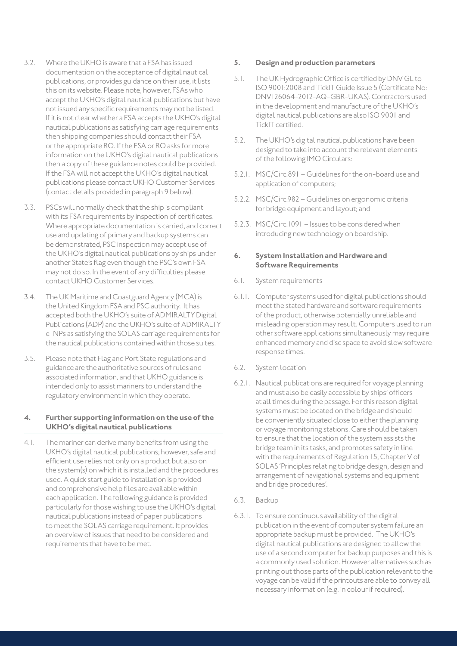- 3.2. Where the UKHO is aware that a FSA has issued documentation on the acceptance of digital nautical publications, or provides guidance on their use, it lists this on its website. Please note, however, FSAs who accept the UKHO's digital nautical publications but have not issued any specific requirements may not be listed. If it is not clear whether a FSA accepts the UKHO's digital nautical publications as satisfying carriage requirements then shipping companies should contact their FSA or the appropriate RO. If the FSA or RO asks for more information on the UKHO's digital nautical publications then a copy of these guidance notes could be provided. If the FSA will not accept the UKHO's digital nautical publications please contact UKHO Customer Services (contact details provided in paragraph 9 below).
- 3.3. PSCs will normally check that the ship is compliant with its FSA requirements by inspection of certificates. Where appropriate documentation is carried, and correct use and updating of primary and backup systems can be demonstrated, PSC inspection may accept use of the UKHO's digital nautical publications by ships under another State's flag even though the PSC's own FSA may not do so. In the event of any difficulties please contact UKHO Customer Services.
- 3.4. The UK Maritime and Coastguard Agency (MCA) is the United Kingdom FSA and PSC authority. It has accepted both the UKHO's suite of ADMIRALTY Digital Publications (ADP) and the UKHO's suite of ADMIRALTY e-NPs as satisfying the SOLAS carriage requirements for the nautical publications contained within those suites.
- 3.5. Please note that Flag and Port State regulations and guidance are the authoritative sources of rules and associated information, and that UKHO guidance is intended only to assist mariners to understand the regulatory environment in which they operate.

#### **4. Further supporting information on the use of the UKHO's digital nautical publications**

4.1. The mariner can derive many benefits from using the UKHO's digital nautical publications; however, safe and efficient use relies not only on a product but also on the system(s) on which it is installed and the procedures used. A quick start guide to installation is provided and comprehensive help files are available within each application. The following guidance is provided particularly for those wishing to use the UKHO's digital nautical publications instead of paper publications to meet the SOLAS carriage requirement. It provides an overview of issues that need to be considered and requirements that have to be met.

#### **5. Design and production parameters**

- 5.1. The UK Hydrographic Office is certified by DNV GL to ISO 9001:2008 and TickIT Guide Issue 5 (Certificate No: DNV126064-2012-AQ-GBR-UKAS). Contractors used in the development and manufacture of the UKHO's digital nautical publications are also ISO 9001 and TickIT certified.
- 5.2. The UKHO's digital nautical publications have been designed to take into account the relevant elements of the following IMO Circulars:
- 5.2.1. MSC/Circ.891 Guidelines for the on-board use and application of computers;
- 5.2.2. MSC/Circ.982 Guidelines on ergonomic criteria for bridge equipment and layout; and
- 5.2.3. MSC/Circ.1091 Issues to be considered when introducing new technology on board ship.

#### **6. System Installation and Hardware and Software Requirements**

#### 6.1. System requirements

- 6.1.1. Computer systems used for digital publications should meet the stated hardware and software requirements of the product, otherwise potentially unreliable and misleading operation may result. Computers used to run other software applications simultaneously may require enhanced memory and disc space to avoid slow software response times.
- 6.2. System location
- 6.2.1. Nautical publications are required for voyage planning and must also be easily accessible by ships' officers at all times during the passage. For this reason digital systems must be located on the bridge and should be conveniently situated close to either the planning or voyage monitoring stations. Care should be taken to ensure that the location of the system assists the bridge team in its tasks, and promotes safety in line with the requirements of Regulation 15, Chapter V of SOLAS 'Principles relating to bridge design, design and arrangement of navigational systems and equipment and bridge procedures'.
- 6.3. Backup
- 6.3.1. To ensure continuous availability of the digital publication in the event of computer system failure an appropriate backup must be provided. The UKHO's digital nautical publications are designed to allow the use of a second computer for backup purposes and this is a commonly used solution. However alternatives such as printing out those parts of the publication relevant to the voyage can be valid if the printouts are able to convey all necessary information (e.g. in colour if required).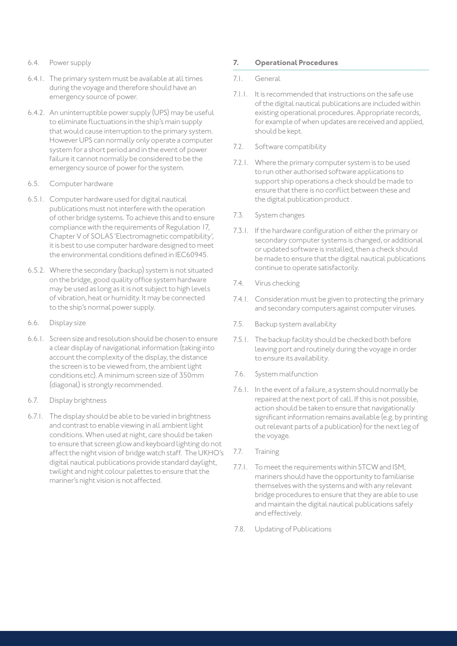#### 6.4. Power supply

- 6.4.1. The primary system must be available at all times during the voyage and therefore should have an emergency source of power.
- 6.4.2. An uninterruptible power supply (UPS) may be useful to eliminate fluctuations in the ship's main supply that would cause interruption to the primary system. However UPS can normally only operate a computer system for a short period and in the event of power failure it cannot normally be considered to be the emergency source of power for the system.
- 6.5. Computer hardware
- 6.5.1. Computer hardware used for digital nautical publications must not interfere with the operation of other bridge systems. To achieve this and to ensure compliance with the requirements of Regulation 17, Chapter V of SOLAS 'Electromagnetic compatibility', it is best to use computer hardware designed to meet the environmental conditions defined in IEC60945.
- 6.5.2. Where the secondary (backup) system is not situated on the bridge, good quality office system hardware may be used as long as it is not subject to high levels of vibration, heat or humidity. It may be connected to the ship's normal power supply.
- 6.6. Display size
- 6.6.1. Screen size and resolution should be chosen to ensure a clear display of navigational information (taking into account the complexity of the display, the distance the screen is to be viewed from, the ambient light conditions etc). A minimum screen size of 350mm (diagonal) is strongly recommended.
- 6.7. Display brightness
- 6.7.1. The display should be able to be varied in brightness and contrast to enable viewing in all ambient light conditions. When used at night, care should be taken to ensure that screen glow and keyboard lighting do not affect the night vision of bridge watch staff. The UKHO's digital nautical publications provide standard daylight, twilight and night colour palettes to ensure that the mariner's night vision is not affected.

#### **7. Operational Procedures**

#### 7.1. General

- 7.1.1. It is recommended that instructions on the safe use of the digital nautical publications are included within existing operational procedures. Appropriate records, for example of when updates are received and applied, should be kept.
- 7.2. Software compatibility
- 7.2.1. Where the primary computer system is to be used to run other authorised software applications to support ship operations a check should be made to ensure that there is no conflict between these and the digital publication product .
- 7.3. System changes
- 7.3.1. If the hardware configuration of either the primary or secondary computer systems is changed, or additional or updated software is installed, then a check should be made to ensure that the digital nautical publications continue to operate satisfactorily.
- 7.4. Virus checking
- 7.4.1. Consideration must be given to protecting the primary and secondary computers against computer viruses.
- 7.5. Backup system availability
- 7.5.1. The backup facility should be checked both before leaving port and routinely during the voyage in order to ensure its availability.
- 7.6. System malfunction
- 7.6.1. In the event of a failure, a system should normally be repaired at the next port of call. If this is not possible, action should be taken to ensure that navigationally significant information remains available (e.g. by printing out relevant parts of a publication) for the next leg of the voyage.
- 7.7. Training
- 7.7.1. To meet the requirements within STCW and ISM, mariners should have the opportunity to familiarise themselves with the systems and with any relevant bridge procedures to ensure that they are able to use and maintain the digital nautical publications safely and effectively.
- 7.8. Updating of Publications